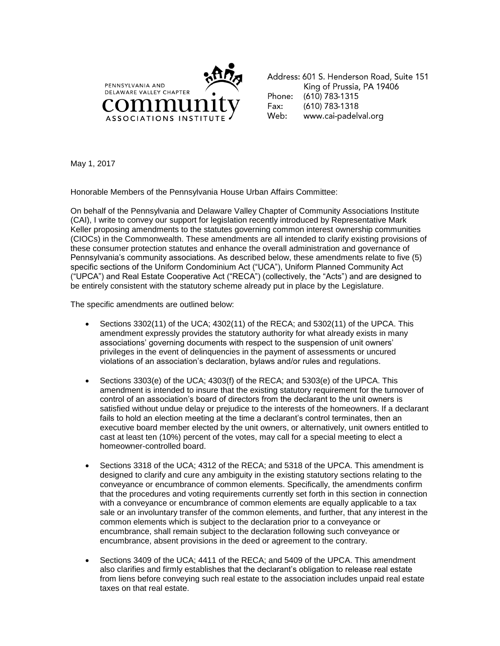

Address: 601 S. Henderson Road, Suite 151 King of Prussia, PA 19406 Phone: (610) 783-1315 Fax:  $(610)$  783-1318 Web: www.cai-padelval.org

May 1, 2017

Honorable Members of the Pennsylvania House Urban Affairs Committee:

On behalf of the Pennsylvania and Delaware Valley Chapter of Community Associations Institute (CAI), I write to convey our support for legislation recently introduced by Representative Mark Keller proposing amendments to the statutes governing common interest ownership communities (CIOCs) in the Commonwealth. These amendments are all intended to clarify existing provisions of these consumer protection statutes and enhance the overall administration and governance of Pennsylvania's community associations. As described below, these amendments relate to five (5) specific sections of the Uniform Condominium Act ("UCA"), Uniform Planned Community Act ("UPCA") and Real Estate Cooperative Act ("RECA") (collectively, the "Acts") and are designed to be entirely consistent with the statutory scheme already put in place by the Legislature.

The specific amendments are outlined below:

- Sections 3302(11) of the UCA; 4302(11) of the RECA; and 5302(11) of the UPCA. This amendment expressly provides the statutory authority for what already exists in many associations' governing documents with respect to the suspension of unit owners' privileges in the event of delinquencies in the payment of assessments or uncured violations of an association's declaration, bylaws and/or rules and regulations.
- Sections 3303(e) of the UCA; 4303(f) of the RECA; and 5303(e) of the UPCA. This amendment is intended to insure that the existing statutory requirement for the turnover of control of an association's board of directors from the declarant to the unit owners is satisfied without undue delay or prejudice to the interests of the homeowners. If a declarant fails to hold an election meeting at the time a declarant's control terminates, then an executive board member elected by the unit owners, or alternatively, unit owners entitled to cast at least ten (10%) percent of the votes, may call for a special meeting to elect a homeowner-controlled board.
- Sections 3318 of the UCA; 4312 of the RECA; and 5318 of the UPCA. This amendment is designed to clarify and cure any ambiguity in the existing statutory sections relating to the conveyance or encumbrance of common elements. Specifically, the amendments confirm that the procedures and voting requirements currently set forth in this section in connection with a conveyance or encumbrance of common elements are equally applicable to a tax sale or an involuntary transfer of the common elements, and further, that any interest in the common elements which is subject to the declaration prior to a conveyance or encumbrance, shall remain subject to the declaration following such conveyance or encumbrance, absent provisions in the deed or agreement to the contrary.
- Sections 3409 of the UCA; 4411 of the RECA; and 5409 of the UPCA. This amendment also clarifies and firmly establishes that the declarant's obligation to release real estate from liens before conveying such real estate to the association includes unpaid real estate taxes on that real estate.